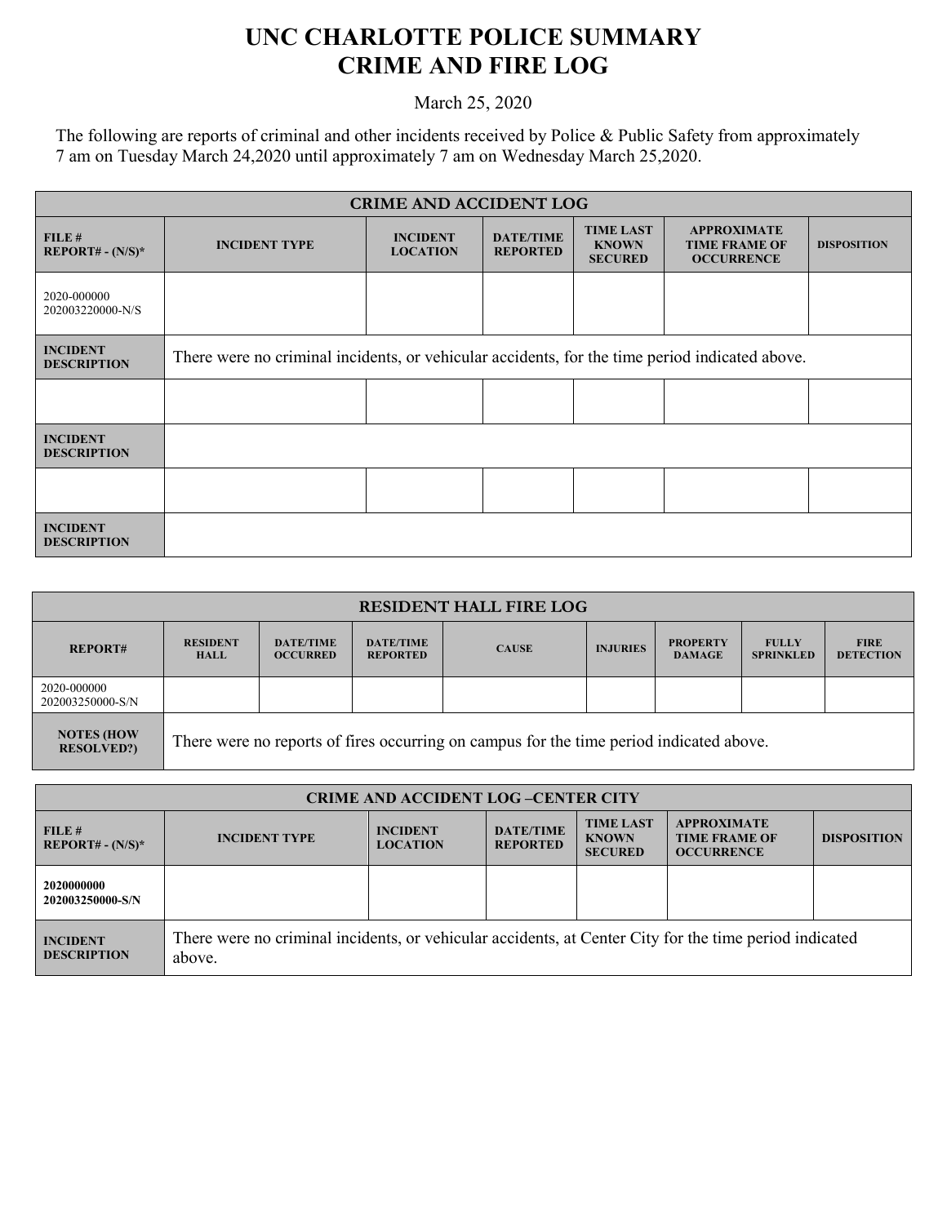## **UNC CHARLOTTE POLICE SUMMARY CRIME AND FIRE LOG**

March 25, 2020

The following are reports of criminal and other incidents received by Police & Public Safety from approximately 7 am on Tuesday March 24,2020 until approximately 7 am on Wednesday March 25,2020.

| <b>CRIME AND ACCIDENT LOG</b>         |                                                                                                |                                    |                                     |                                                    |                                                                 |                    |  |
|---------------------------------------|------------------------------------------------------------------------------------------------|------------------------------------|-------------------------------------|----------------------------------------------------|-----------------------------------------------------------------|--------------------|--|
| FILE#<br>$REPORT# - (N/S)*$           | <b>INCIDENT TYPE</b>                                                                           | <b>INCIDENT</b><br><b>LOCATION</b> | <b>DATE/TIME</b><br><b>REPORTED</b> | <b>TIME LAST</b><br><b>KNOWN</b><br><b>SECURED</b> | <b>APPROXIMATE</b><br><b>TIME FRAME OF</b><br><b>OCCURRENCE</b> | <b>DISPOSITION</b> |  |
| 2020-000000<br>202003220000-N/S       |                                                                                                |                                    |                                     |                                                    |                                                                 |                    |  |
| <b>INCIDENT</b><br><b>DESCRIPTION</b> | There were no criminal incidents, or vehicular accidents, for the time period indicated above. |                                    |                                     |                                                    |                                                                 |                    |  |
|                                       |                                                                                                |                                    |                                     |                                                    |                                                                 |                    |  |
| <b>INCIDENT</b><br><b>DESCRIPTION</b> |                                                                                                |                                    |                                     |                                                    |                                                                 |                    |  |
|                                       |                                                                                                |                                    |                                     |                                                    |                                                                 |                    |  |
| <b>INCIDENT</b><br><b>DESCRIPTION</b> |                                                                                                |                                    |                                     |                                                    |                                                                 |                    |  |

| <b>RESIDENT HALL FIRE LOG</b>          |                                                                                         |                                     |                                     |              |                 |                                  |                                  |                                 |
|----------------------------------------|-----------------------------------------------------------------------------------------|-------------------------------------|-------------------------------------|--------------|-----------------|----------------------------------|----------------------------------|---------------------------------|
| <b>REPORT#</b>                         | <b>RESIDENT</b><br><b>HALL</b>                                                          | <b>DATE/TIME</b><br><b>OCCURRED</b> | <b>DATE/TIME</b><br><b>REPORTED</b> | <b>CAUSE</b> | <b>INJURIES</b> | <b>PROPERTY</b><br><b>DAMAGE</b> | <b>FULLY</b><br><b>SPRINKLED</b> | <b>FIRE</b><br><b>DETECTION</b> |
| 2020-000000<br>202003250000-S/N        |                                                                                         |                                     |                                     |              |                 |                                  |                                  |                                 |
| <b>NOTES (HOW</b><br><b>RESOLVED?)</b> | There were no reports of fires occurring on campus for the time period indicated above. |                                     |                                     |              |                 |                                  |                                  |                                 |

| <b>CRIME AND ACCIDENT LOG-CENTER CITY</b> |                                                                                                                  |                                    |                                     |                                                    |                                                                 |                    |
|-------------------------------------------|------------------------------------------------------------------------------------------------------------------|------------------------------------|-------------------------------------|----------------------------------------------------|-----------------------------------------------------------------|--------------------|
| FILE#<br>$REPORT# - (N/S)*$               | <b>INCIDENT TYPE</b>                                                                                             | <b>INCIDENT</b><br><b>LOCATION</b> | <b>DATE/TIME</b><br><b>REPORTED</b> | <b>TIME LAST</b><br><b>KNOWN</b><br><b>SECURED</b> | <b>APPROXIMATE</b><br><b>TIME FRAME OF</b><br><b>OCCURRENCE</b> | <b>DISPOSITION</b> |
| 2020000000<br>202003250000-S/N            |                                                                                                                  |                                    |                                     |                                                    |                                                                 |                    |
| <b>INCIDENT</b><br><b>DESCRIPTION</b>     | There were no criminal incidents, or vehicular accidents, at Center City for the time period indicated<br>above. |                                    |                                     |                                                    |                                                                 |                    |